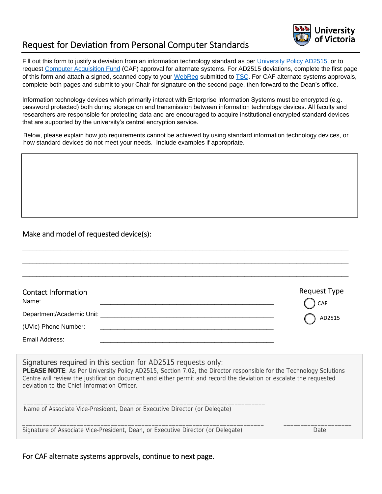

# Request for Deviation from Personal Computer Standards

Fill out this form to justify a deviation from an information technology standard as per [University Policy AD2515](https://www.uvic.ca/universitysecretary/assets/docs/policies/AD2515_6040_.pdf), or to request [Computer Acquisition Fund](http://www.uvic.ca/vpacademic/resources/howto/computer-fund/index.php) (CAF) approval for alternate systems. For AD2515 deviations, complete the first page of this form and attach a signed, scanned copy to your [WebReq](http://www.uvic.ca/systems/support/computerssoftware/technologysolutions/webreq.php) submitted to [TSC.](http://uvic.ca/tsc) For CAF alternate systems approvals, complete both pages and submit to your Chair for signature on the second page, then forward to the Dean's office.

Information technology devices which primarily interact with Enterprise Information Systems must be encrypted (e.g. password protected) both during storage on and transmission between information technology devices. All faculty and researchers are responsible for protecting data and are encouraged to acquire institutional encrypted standard devices that are supported by the university's central encryption service.

Below, please explain how job requirements cannot be achieved by using standard information technology devices, or how standard devices do not meet your needs. Include examples if appropriate.

### Make and model of requested device(s):

| <b>Contact Information</b><br>Name:   | Request Type<br>C CAF           |
|---------------------------------------|---------------------------------|
| Department/Academic Unit: ___________ | $\overline{\phantom{a}}$ AD2515 |
| (UVic) Phone Number:                  |                                 |
| Email Address:                        |                                 |
|                                       |                                 |

\_\_\_\_\_\_\_\_\_\_\_\_\_\_\_\_\_\_\_\_\_\_\_\_\_\_\_\_\_\_\_\_\_\_\_\_\_\_\_\_\_\_\_\_\_\_\_\_\_\_\_\_\_\_\_\_\_\_\_\_\_\_\_\_\_\_\_\_\_\_\_\_\_\_\_\_\_\_\_\_\_\_\_\_\_\_\_\_\_\_\_\_\_\_

Signatures required in this section for AD2515 requests only: **PLEASE NOTE**: As Per University Policy AD2515, Section 7.02, the Director responsible for the Technology Solutions Centre will review the justification document and either permit and record the deviation or escalate the requested deviation to the Chief Information Officer.

Name of Associate Vice-President, Dean or Executive Director (or Delegate)

\_\_\_\_\_\_\_\_\_\_\_\_\_\_\_\_\_\_\_\_\_\_\_\_\_\_\_\_\_\_\_\_\_\_\_\_\_\_\_\_\_\_\_\_\_\_\_\_\_\_\_\_\_\_\_\_\_\_\_\_\_\_\_\_\_\_\_\_\_\_\_

Signature of Associate Vice-President, Dean, or Executive Director (or Delegate) Date

\_\_\_\_\_\_\_\_\_\_\_\_\_\_\_\_\_\_\_\_\_\_\_\_\_\_\_\_\_\_\_\_\_\_\_\_\_\_\_\_\_\_\_\_\_\_\_\_\_\_\_\_\_\_\_\_\_\_\_\_\_\_\_\_\_\_\_\_\_\_\_ \_\_\_\_\_\_\_\_\_\_\_\_\_\_\_\_\_\_\_\_

For CAF alternate systems approvals, continue to next page.